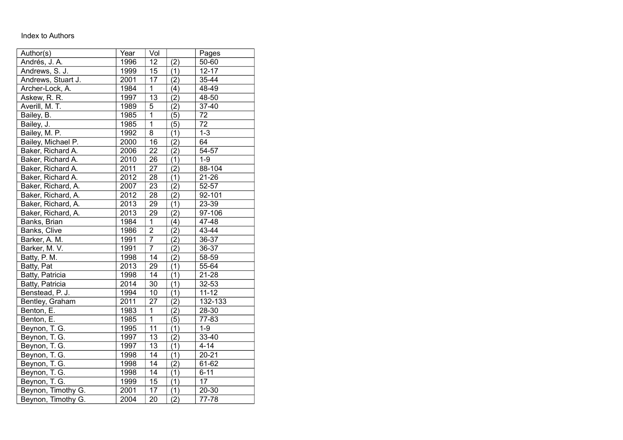## Index to Authors

| Author(s)          | Year | Vol             |           | Pages     |
|--------------------|------|-----------------|-----------|-----------|
| Andrés, J. A.      | 1996 | 12              | (2)       | 50-60     |
| Andrews, S. J.     | 1999 | $\overline{15}$ | (1)       | $12 - 17$ |
| Andrews, Stuart J. | 2001 | 17              | (2)       | 35-44     |
| Archer-Lock, A.    | 1984 | 1               | (4)       | 48-49     |
| Askew, R. R.       | 1997 | $\overline{13}$ | (2)       | 48-50     |
| Averill, M. T.     | 1989 | 5               | (2)       | 37-40     |
| Bailey, B.         | 1985 | $\overline{1}$  | (5)       | 72        |
| Bailey, J.         | 1985 | $\overline{1}$  | (5)       | 72        |
| Bailey, M. P.      | 1992 | $\overline{8}$  | (1)       | $1 - 3$   |
| Bailey, Michael P. | 2000 | 16              | (2)       | 64        |
| Baker, Richard A.  | 2006 | $\overline{22}$ | (2)       | $54 - 57$ |
| Baker, Richard A.  | 2010 | 26              | (1)       | $1 - 9$   |
| Baker, Richard A.  | 2011 | 27              | (2)       | 88-104    |
| Baker, Richard A.  | 2012 | 28              | (1)       | $21 - 26$ |
| Baker, Richard, A. | 2007 | 23              | (2)       | 52-57     |
| Baker, Richard, A. | 2012 | $\overline{28}$ | $\bar{2}$ | 92-101    |
| Baker, Richard, A. | 2013 | 29              | (1)       | 23-39     |
| Baker, Richard, A. | 2013 | 29              | (2)       | 97-106    |
| Banks, Brian       | 1984 | $\overline{1}$  | (4)       | 47-48     |
| Banks, Clive       | 1986 | $\overline{2}$  | (2)       | 43-44     |
| Barker, A. M.      | 1991 | $\overline{7}$  | (2)       | 36-37     |
| Barker, M. V.      | 1991 | $\overline{7}$  | (2)       | 36-37     |
| Batty, P. M.       | 1998 | $\overline{14}$ | (2)       | 58-59     |
| Batty, Pat         | 2013 | 29              | (1)       | 55-64     |
| Batty, Patricia    | 1998 | 14              | (1)       | 21-28     |
| Batty, Patricia    | 2014 | $\overline{30}$ | (1)       | 32-53     |
| Benstead, P. J.    | 1994 | 10              | (1)       | $11 - 12$ |
| Bentley, Graham    | 2011 | 27              | (2)       | 132-133   |
| Benton, E.         | 1983 | 1               | (2)       | 28-30     |
| Benton, E.         | 1985 | $\mathbf 1$     | (5)       | 77-83     |
| Beynon, T. G.      | 1995 | $\overline{11}$ | (1)       | $1 - 9$   |
| Beynon, T. G.      | 1997 | 13              | (2)       | 33-40     |
| Beynon, T. G.      | 1997 | 13              | (1)       | $4 - 14$  |
| Beynon, T. G.      | 1998 | 14              | (1)       | $20 - 21$ |
| Beynon, T. G.      | 1998 | 14              | (2)       | 61-62     |
| Beynon, T. G.      | 1998 | 14              | (1)       | $6 - 11$  |
| Beynon, T. G.      | 1999 | 15              | (1)       | 17        |
| Beynon, Timothy G. | 2001 | 17              | (1)       | $20 - 30$ |
| Beynon, Timothy G. | 2004 | 20              | (2)       | 77-78     |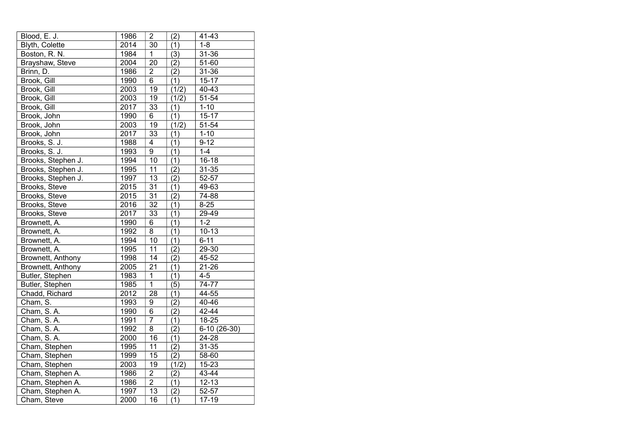| Blood, E. J.       | 1986 | $\overline{\mathbf{c}}$ | (2)              | 41-43        |
|--------------------|------|-------------------------|------------------|--------------|
| Blyth, Colette     | 2014 | 30                      | (1)              | $1 - 8$      |
| Boston, R. N.      | 1984 | 1                       | (3)              | 31-36        |
| Brayshaw, Steve    | 2004 | 20                      | (2)              | 51-60        |
| Brinn, D.          | 1986 | $\overline{2}$          | $\overline{(2)}$ | $31 - 36$    |
| Brook, Gill        | 1990 | $6\overline{6}$         | (1)              | $15 - 17$    |
| Brook, Gill        | 2003 | 19                      | (1/2)            | 40-43        |
| Brook, Gill        | 2003 | 19                      | (1/2)            | $51 - 54$    |
| Brook, Gill        | 2017 | 33                      | (1)              | $1 - 10$     |
| Brook, John        | 1990 | $\overline{6}$          | $\overline{(1)}$ | $15 - 17$    |
| Brook, John        | 2003 | 19                      | (1/2)            | 51-54        |
| Brook, John        | 2017 | 33                      | (1)              | $1 - 10$     |
| Brooks, S. J.      | 1988 | 4                       | (1)              | $9 - 12$     |
| Brooks, S. J.      | 1993 | $\overline{9}$          | (1)              | $1 - 4$      |
| Brooks, Stephen J. | 1994 | 10                      | (1)              | $16 - 18$    |
| Brooks, Stephen J. | 1995 | 11                      | (2)              | $31 - 35$    |
| Brooks, Stephen J. | 1997 | 13                      | $\overline{(2)}$ | 52-57        |
| Brooks, Steve      | 2015 | $\overline{31}$         | (1)              | 49-63        |
| Brooks, Steve      | 2015 | $\overline{31}$         | $\overline{(2)}$ | 74-88        |
| Brooks, Steve      | 2016 | $\overline{32}$         | (1)              | $8 - 25$     |
| Brooks, Steve      | 2017 | 33                      | (1)              | 29-49        |
| Brownett, A.       | 1990 | 6                       | (1)              | $1 - 2$      |
| Brownett, A.       | 1992 | 8                       | (1)              | $10 - 13$    |
| Brownett, A.       | 1994 | 10                      | (1)              | $6 - 11$     |
| Brownett, A.       | 1995 | 11                      | (2)              | 29-30        |
| Brownett, Anthony  | 1998 | $\overline{14}$         | $\overline{(2)}$ | 45-52        |
| Brownett, Anthony  | 2005 | $\overline{21}$         | (1)              | $21 - 26$    |
| Butler, Stephen    | 1983 | $\overline{1}$          | $\overline{(1)}$ | $4 - 5$      |
| Butler, Stephen    | 1985 | $\overline{1}$          | $\overline{(5)}$ | 74-77        |
| Chadd, Richard     | 2012 | $\overline{28}$         | (1)              | 44-55        |
| Cham, S.           | 1993 | 9                       | (2)              | 40-46        |
| Cham, S.A.         | 1990 | $\overline{6}$          | $\overline{(2)}$ | 42-44        |
| Cham, S.A.         | 1991 | $\overline{7}$          | (1)              | 18-25        |
| Cham, S.A.         | 1992 | $\overline{8}$          | $\overline{(2)}$ | 6-10 (26-30) |
| Cham, S.A.         | 2000 | 16                      | $\overline{(1)}$ | $24 - 28$    |
| Cham, Stephen      | 1995 | $\overline{1}1$         | (2)              | $31 - 35$    |
| Cham, Stephen      | 1999 | 15                      | $\overline{(2)}$ | 58-60        |
| Cham, Stephen      | 2003 | 19                      | (1/2)            | 15-23        |
| Cham, Stephen A.   | 1986 | $\overline{2}$          | (2)              | 43-44        |
| Cham, Stephen A.   | 1986 | $\overline{2}$          | (1)              | $12 - 13$    |
| Cham, Stephen A.   | 1997 | 13                      | (2)              | 52-57        |
| Cham, Steve        | 2000 | $\overline{16}$         | (1)              | $17 - 19$    |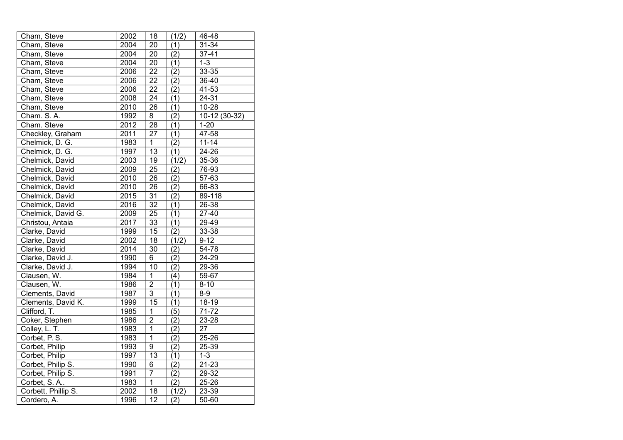| Cham, Steve         | 2002             | 18              | (1/2)            | 46-48         |
|---------------------|------------------|-----------------|------------------|---------------|
| Cham, Steve         | 2004             | 20              | (1)              | $31 - 34$     |
| Cham, Steve         | 2004             | 20              | (2)              | $37 - 41$     |
| Cham, Steve         | 2004             | 20              | (1)              | $1 - 3$       |
| Cham, Steve         | 2006             | 22              | (2)              | $33 - 35$     |
| Cham, Steve         | 2006             | $\overline{22}$ | (2)              | 36-40         |
| Cham, Steve         | 2006             | $\overline{22}$ | (2)              | 41-53         |
| Cham, Steve         | 2008             | $\overline{24}$ | (1)              | 24-31         |
| Cham, Steve         | 2010             | 26              | (1)              | $10 - 28$     |
| Cham. S.A.          | 1992             | $\overline{8}$  | (2)              | 10-12 (30-32) |
| Cham. Steve         | 2012             | 28              | (1)              | $1 - 20$      |
| Checkley, Graham    | 2011             | 27              | (1)              | 47-58         |
| Chelmick, D. G.     | 1983             | $\overline{1}$  | (2)              | $11 - 14$     |
| Chelmick, D. G.     | 1997             | 13              | (1)              | 24-26         |
| Chelmick, David     | 2003             | 19              | (1/2)            | 35-36         |
| Chelmick, David     | 2009             | $\overline{25}$ | (2)              | 76-93         |
| Chelmick, David     | 2010             | $\overline{26}$ | (2)              | 57-63         |
| Chelmick, David     | 2010             | 26              | (2)              | 66-83         |
| Chelmick, David     | 2015             | $\overline{31}$ | (2)              | 89-118        |
| Chelmick, David     | 2016             | $\overline{32}$ | (1)              | 26-38         |
| Chelmick, David G.  | 2009             | $\overline{25}$ | (1)              | $27-40$       |
| Christou, Antaia    | 2017             | 33              | (1)              | 29-49         |
| Clarke, David       | 1999             | 15              | $\overline{(2)}$ | $33 - 38$     |
| Clarke, David       | 2002             | 18              | (1/2)            | $9 - 12$      |
| Clarke, David       | 2014             | 30              | (2)              | 54-78         |
| Clarke, David J.    | 1990             | $\overline{6}$  | $\overline{(2)}$ | $24 - 29$     |
| Clarke, David J.    | 1994             | 10              | (2)              | 29-36         |
| Clausen, W.         | 1984             | $\overline{1}$  | $\overline{(4)}$ | 59-67         |
| Clausen, W.         | 1986             | $\overline{2}$  | (1)              | $8 - 10$      |
| Clements, David     | 1987             | $\overline{3}$  | (1)              | $8-9$         |
| Clements, David K.  | 1999             | $\overline{15}$ | $\overline{(1)}$ | $18 - 19$     |
| Clifford, T.        | 1985             | $\mathbf 1$     | (5)              | 71-72         |
| Coker, Stephen      | 1986             | $\overline{2}$  | $\overline{(2)}$ | 23-28         |
| Colley, L. T.       | 1983             | $\overline{1}$  | (2)              | 27            |
| Corbet, P.S.        | 1983             | $\overline{1}$  | (2)              | $25 - 26$     |
| Corbet, Philip      | 1993             | $\overline{9}$  | $\overline{(2)}$ | 25-39         |
| Corbet, Philip      | $\frac{1}{1997}$ | 13              | (1)              | $1 - 3$       |
| Corbet, Philip S.   | 1990             | 6               | $\overline{(2)}$ | $21 - 23$     |
| Corbet, Philip S.   | 1991             | $\overline{7}$  | $\overline{(2)}$ | $29 - 32$     |
| Corbet, S.A         | 1983             | $\overline{1}$  | $\overline{(2)}$ | 25-26         |
| Corbett, Phillip S. | 2002             | 18              | (1/2)            | 23-39         |
| Cordero, A.         | 1996             | $\overline{12}$ | (2)              | 50-60         |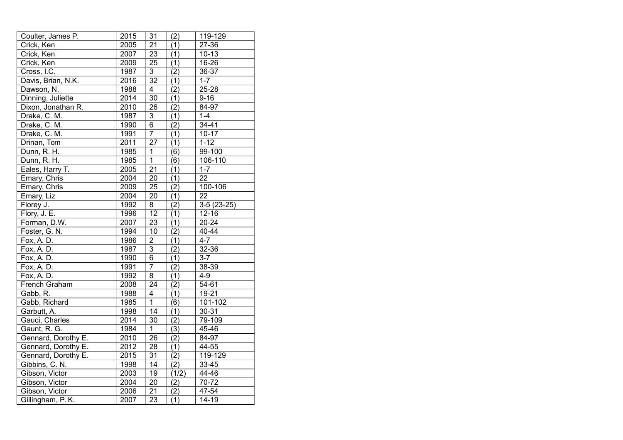| Coulter, James P.   | 2015 | 31              | (2)              | 119-129      |
|---------------------|------|-----------------|------------------|--------------|
| Crick, Ken          | 2005 | 21              | (1)              | 27-36        |
| Crick, Ken          | 2007 | 23              | (1)              | $10 - 13$    |
| Crick, Ken          | 2009 | 25              | (1)              | 16-26        |
| Cross, I.C.         | 1987 | $\overline{3}$  | (2)              | 36-37        |
| Davis, Brian, N.K.  | 2016 | 32              | (1)              | $1 - 7$      |
| Dawson, N.          | 1988 | $\overline{4}$  | (2)              | 25-28        |
| Dinning, Juliette   | 2014 | 30              | (1)              | $9 - 16$     |
| Dixon, Jonathan R.  | 2010 | 26              | (2)              | 84-97        |
| Drake, C. M.        | 1987 | $\overline{3}$  | (1)              | $1-4$        |
| Drake, C. M.        | 1990 | $\overline{6}$  | (2)              | $34 - 41$    |
| Drake, C. M.        | 1991 | $\overline{7}$  | (1)              | $10 - 17$    |
| Drinan, Tom         | 2011 | 27              | (1)              | $1 - 12$     |
| Dunn, R. H.         | 1985 | $\overline{1}$  | $\overline{(6)}$ | 99-100       |
| Dunn, R. H.         | 1985 | $\overline{1}$  | (6)              | 106-110      |
| Eales, Harry T.     | 2005 | $\overline{21}$ | (1)              | $1 - 7$      |
| Emary, Chris        | 2004 | $\overline{20}$ | (1)              | 22           |
| Emary, Chris        | 2009 | 25              | (2)              | 100-106      |
| Emary, Liz          | 2004 | 20              | (1)              | 22           |
| Florey J.           | 1992 | 8               | (2)              | $3-5(23-25)$ |
| Flory, J. E.        | 1996 | 12              | (1)              | $12 - 16$    |
| Forman, D.W.        | 2007 | 23              | (1)              | 20-24        |
| Foster, G. N.       | 1994 | 10              | $\overline{(2)}$ | $40 - 44$    |
| Fox, A. D.          | 1986 | $\overline{2}$  | (1)              | $4 - 7$      |
| Fox, A. D.          | 1987 | $\overline{3}$  | (2)              | 32-36        |
| Fox, A. D.          | 1990 | 6               | (1)              | $3 - 7$      |
| Fox, A. D.          | 1991 | $\overline{7}$  | (2)              | 38-39        |
| Fox, A. D.          | 1992 | $\overline{8}$  | (1)              | $4 - 9$      |
| French Graham       | 2008 | 24              | $\overline{(2)}$ | 54-61        |
| Gabb, R.            | 1988 | $\overline{4}$  | (1)              | 19-21        |
| Gabb, Richard       | 1985 | $\overline{1}$  | (6)              | 101-102      |
| Garbutt, A.         | 1998 | 14              | $\overline{(1)}$ | $30 - 31$    |
| Gauci, Charles      | 2014 | 30              | (2)              | 79-109       |
| Gaunt, R. G.        | 1984 | $\overline{1}$  | $\overline{(3)}$ | 45-46        |
| Gennard, Dorothy E. | 2010 | $\overline{26}$ | (2)              | 84-97        |
| Gennard, Dorothy E. | 2012 | $\overline{28}$ | (1)              | 44-55        |
| Gennard, Dorothy E. | 2015 | $\overline{31}$ | $\overline{(2)}$ | 119-129      |
| Gibbins, C. N.      | 1998 | 14              | (2)              | $33 - 45$    |
| Gibson, Victor      | 2003 | 19              | (1/2)            | 44-46        |
| Gibson, Victor      | 2004 | $\overline{20}$ | (2)              | 70-72        |
| Gibson, Victor      | 2006 | 21              | (2)              | 47-54        |
| Gillingham, P.K.    | 2007 | $\overline{23}$ | (1)              | $14 - 19$    |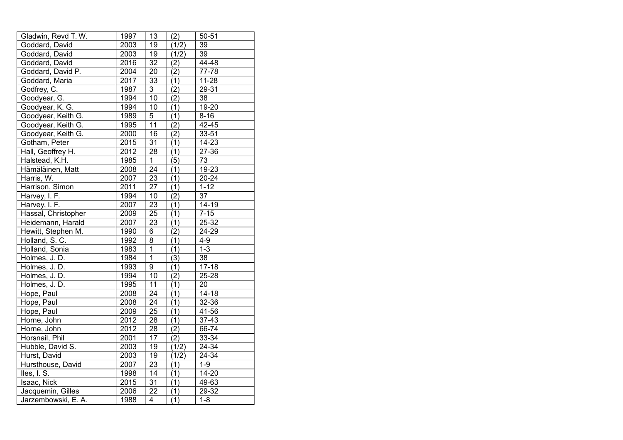| Gladwin, Revd T. W. | 1997 | 13              | (2)              | $50 - 51$ |
|---------------------|------|-----------------|------------------|-----------|
| Goddard, David      | 2003 | 19              | (1/2)            | 39        |
| Goddard, David      | 2003 | 19              | (1/2)            | 39        |
| Goddard, David      | 2016 | 32              | (2)              | 44-48     |
| Goddard, David P.   | 2004 | $\overline{20}$ | $\overline{(2)}$ | 77-78     |
| Goddard, Maria      | 2017 | 33              | (1)              | $11-28$   |
| Godfrey, C.         | 1987 | $\overline{3}$  | (2)              | 29-31     |
| Goodyear, G.        | 1994 | 10              | (2)              | 38        |
| Goodyear, K. G.     | 1994 | 10              | (1)              | $19 - 20$ |
| Goodyear, Keith G.  | 1989 | $\overline{5}$  | (1)              | $8 - 16$  |
| Goodyear, Keith G.  | 1995 | 11              | (2)              | 42-45     |
| Goodyear, Keith G.  | 2000 | 16              | (2)              | 33-51     |
| Gotham, Peter       | 2015 | 31              | (1)              | $14 - 23$ |
| Hall, Geoffrey H.   | 2012 | 28              | (1)              | 27-36     |
| Halstead, K.H.      | 1985 | $\overline{1}$  | $\overline{(5)}$ | 73        |
| Hämäläinen, Matt    | 2008 | $\overline{24}$ | (1)              | $19 - 23$ |
| Harris, W.          | 2007 | 23              | (1)              | $20 - 24$ |
| Harrison, Simon     | 2011 | 27              | (1)              | $1 - 12$  |
| Harvey, I. F.       | 1994 | 10              | (2)              | 37        |
| Harvey, I. F.       | 2007 | 23              | (1)              | $14 - 19$ |
| Hassal, Christopher | 2009 | $\overline{25}$ | (1)              | $7 - 15$  |
| Heidemann, Harald   | 2007 | 23              | (1)              | 25-32     |
| Hewitt, Stephen M.  | 1990 | 6               | $\overline{(2)}$ | 24-29     |
| Holland, S.C.       | 1992 | 8               | (1)              | $4 - 9$   |
| Holland, Sonia      | 1983 | $\overline{1}$  | (1)              | $1 - 3$   |
| Holmes, J.D.        | 1984 | $\overline{1}$  | (3)              | 38        |
| Holmes, J. D.       | 1993 | $\overline{9}$  | (1)              | $17 - 18$ |
| Holmes, J. D.       | 1994 | 10              | (2)              | 25-28     |
| Holmes, J. D.       | 1995 | 11              | (1)              | 20        |
| Hope, Paul          | 2008 | $\overline{24}$ | (1)              | $14 - 18$ |
| Hope, Paul          | 2008 | 24              | (1)              | 32-36     |
| Hope, Paul          | 2009 | $\overline{25}$ | $\overline{(1)}$ | 41-56     |
| Horne, John         | 2012 | 28              | (1)              | $37 - 43$ |
| Horne, John         | 2012 | 28              | (2)              | 66-74     |
| Horsnail, Phil      | 2001 | $\overline{17}$ | $\overline{(2)}$ | 33-34     |
| Hubble, David S.    | 2003 | 19              | (1/2)            | 24-34     |
| Hurst, David        | 2003 | 19              | (1/2)            | 24-34     |
| Hursthouse, David   | 2007 | 23              | (1)              | $1-9$     |
| Iles, I. S.         | 1998 | $\overline{14}$ | (1)              | $14 - 20$ |
| Isaac, Nick         | 2015 | 31              | (1)              | 49-63     |
| Jacquemin, Gilles   | 2006 | 22              | (1)              | 29-32     |
| Jarzembowski, E. A. | 1988 | $\overline{4}$  | $\overline{(1)}$ | $1 - 8$   |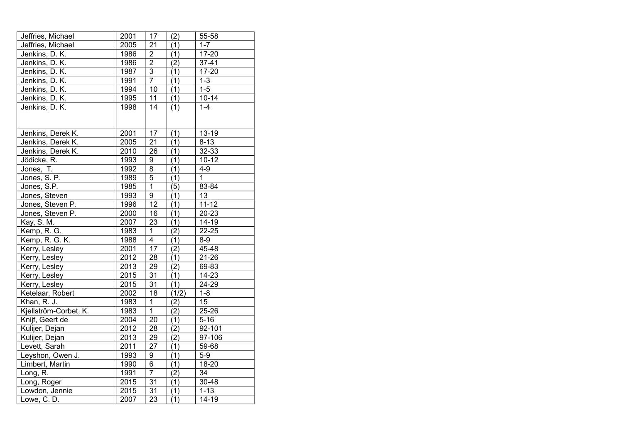| Jeffries, Michael     | 2001 | 17              | (2)              | 55-58        |
|-----------------------|------|-----------------|------------------|--------------|
| Jeffries, Michael     | 2005 | $\overline{21}$ | (1)              | $1 - 7$      |
| Jenkins, D. K.        | 1986 | $\overline{2}$  | (1)              | $17 - 20$    |
| Jenkins, D. K.        | 1986 | $\overline{2}$  | (2)              | $37 - 41$    |
| Jenkins, D. K.        | 1987 | $\overline{3}$  | (1)              | $17 - 20$    |
| Jenkins, D. K.        | 1991 | $\overline{7}$  | (1)              | $1 - 3$      |
| Jenkins, D. K.        | 1994 | $\overline{10}$ | (1)              | $1-5$        |
| Jenkins, D. K.        | 1995 | 11              | (1)              | $10-14$      |
| Jenkins, D. K.        | 1998 | 14              | (1)              | $1 - 4$      |
|                       |      |                 |                  |              |
|                       |      |                 |                  |              |
| Jenkins, Derek K.     | 2001 | 17              | (1)              | $13 - 19$    |
| Jenkins, Derek K.     | 2005 | 21              | (1)              | $8 - 13$     |
| Jenkins, Derek K.     | 2010 | 26              | (1)              | 32-33        |
| Jödicke, R.           | 1993 | 9               | (1)              | $10 - 12$    |
| Jones, T.             | 1992 | 8               | (1)              | $4 - 9$      |
| Jones, S. P.          | 1989 | $\overline{5}$  | (1)              | $\mathbf{1}$ |
| Jones, S.P.           | 1985 | $\overline{1}$  | (5)              | 83-84        |
| Jones, Steven         | 1993 | $\overline{9}$  | (1)              | 13           |
| Jones, Steven P.      | 1996 | 12              | (1)              | $11 - 12$    |
| Jones, Steven P.      | 2000 | $\overline{16}$ | (1)              | $20 - 23$    |
| Kay, S. M.            | 2007 | 23              | (1)              | $14 - 19$    |
| Kemp, R. G.           | 1983 | $\mathbf 1$     | (2)              | $22 - 25$    |
| Kemp, R. G. K.        | 1988 | $\overline{4}$  | (1)              | $8-9$        |
| Kerry, Lesley         | 2001 | $\overline{17}$ | (2)              | 45-48        |
| Kerry, Lesley         | 2012 | 28              | (1)              | $21 - 26$    |
| Kerry, Lesley         | 2013 | 29              | (2)              | 69-83        |
| Kerry, Lesley         | 2015 | $\overline{31}$ | $\overline{(1)}$ | $14 - 23$    |
| Kerry, Lesley         | 2015 | 31              | (1)              | 24-29        |
| Ketelaar, Robert      | 2002 | 18              | (1/2)            | $1 - 8$      |
| Khan, R. J.           | 1983 | $\mathbf{1}$    | (2)              | 15           |
| Kjellström-Corbet, K. | 1983 | $\mathbf{1}$    | (2)              | 25-26        |
| Knijf, Geert de       | 2004 | 20              | (1)              | $5 - 16$     |
| Kulijer, Dejan        | 2012 | 28              | (2)              | 92-101       |
| Kulijer, Dejan        | 2013 | 29              | (2)              | 97-106       |
| Levett, Sarah         | 2011 | 27              | (1)              | 59-68        |
| Leyshon, Owen J.      | 1993 | 9               | (1)              | $5-9$        |
| Limbert, Martin       | 1990 | 6               | (1)              | 18-20        |
| Long, R.              | 1991 | $\overline{7}$  | (2)              | 34           |
| Long, Roger           | 2015 | $\overline{31}$ | (1)              | 30-48        |
| Lowdon, Jennie        | 2015 | 31              | (1)              | $1 - 13$     |
| Lowe, C. D.           | 2007 | 23              | (1)              | $14 - 19$    |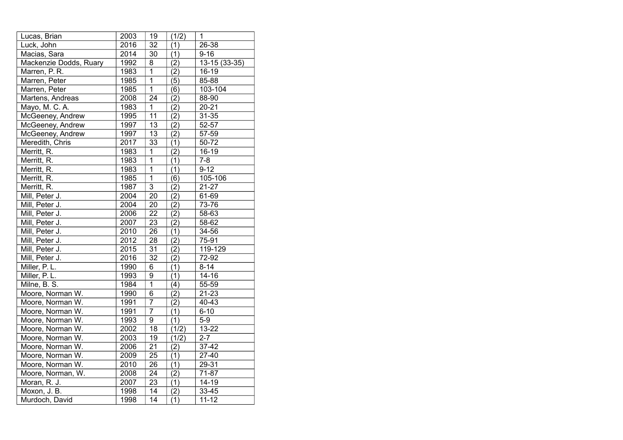| Lucas, Brian           | 2003 | 19              | (1/2)            | 1             |
|------------------------|------|-----------------|------------------|---------------|
| Luck, John             | 2016 | 32              | (1)              | 26-38         |
| Macias, Sara           | 2014 | 30              | (1)              | $9 - 16$      |
| Mackenzie Dodds, Ruary | 1992 | 8               | (2)              | 13-15 (33-35) |
| Marren, P. R.          | 1983 | $\overline{1}$  | (2)              | $16-19$       |
| Marren, Peter          | 1985 | $\overline{1}$  | (5)              | 85-88         |
| Marren, Peter          | 1985 | $\overline{1}$  | (6)              | 103-104       |
| Martens, Andreas       | 2008 | 24              | (2)              | 88-90         |
| Mayo, M. C. A.         | 1983 | $\mathbf{1}$    | (2)              | $20 - 21$     |
| McGeeney, Andrew       | 1995 | $\overline{11}$ | (2)              | $31 - 35$     |
| McGeeney, Andrew       | 1997 | 13              | (2)              | 52-57         |
| McGeeney, Andrew       | 1997 | 13              | (2)              | 57-59         |
| Meredith, Chris        | 2017 | 33              | (1)              | 50-72         |
| Merritt, R.            | 1983 | $\overline{1}$  | (2)              | 16-19         |
| Merritt, R.            | 1983 | $\overline{1}$  | (1)              | $7 - 8$       |
| Merritt, R.            | 1983 | $\overline{1}$  | (1)              | $9 - 12$      |
| Merritt, R.            | 1985 | $\overline{1}$  | (6)              | 105-106       |
| Merritt, R.            | 1987 | $\overline{3}$  | (2)              | $21 - 27$     |
| Mill, Peter J.         | 2004 | $\overline{20}$ | $\overline{(2)}$ | 61-69         |
| Mill, Peter J.         | 2004 | 20              | (2)              | 73-76         |
| Mill, Peter J.         | 2006 | $\overline{22}$ | (2)              | 58-63         |
| Mill, Peter J.         | 2007 | 23              | (2)              | 58-62         |
| Mill, Peter J.         | 2010 | 26              | (1)              | 34-56         |
| Mill, Peter J.         | 2012 | 28              | (2)              | 75-91         |
| Mill, Peter J.         | 2015 | $\overline{31}$ | (2)              | 119-129       |
| Mill, Peter J.         | 2016 | 32              | (2)              | 72-92         |
| Miller, P.L.           | 1990 | 6               | (1)              | $8 - 14$      |
| Miller, P. L.          | 1993 | 9               | (1)              | $14 - 16$     |
| Milne, B. S.           | 1984 | $\overline{1}$  | (4)              | 55-59         |
| Moore, Norman W.       | 1990 | $\overline{6}$  | $\overline{(2)}$ | $21 - 23$     |
| Moore, Norman W.       | 1991 | $\overline{7}$  | (2)              | 40-43         |
| Moore, Norman W.       | 1991 | $\overline{7}$  | $\overline{(1)}$ | $6 - 10$      |
| Moore, Norman W.       | 1993 | $\overline{9}$  | (1)              | $5-9$         |
| Moore, Norman W.       | 2002 | $\overline{18}$ | (1/2)            | $13 - 22$     |
| Moore, Norman W.       | 2003 | $\overline{19}$ | (1/2)            | $2 - 7$       |
| Moore, Norman W.       | 2006 | $\overline{21}$ | (2)              | 37-42         |
| Moore, Norman W.       | 2009 | $\overline{25}$ | $\overline{(1)}$ | 27-40         |
| Moore, Norman W.       | 2010 | 26              | (1)              | 29-31         |
| Moore, Norman, W.      | 2008 | $\overline{24}$ | $\overline{(2)}$ | 71-87         |
| Moran, R. J.           | 2007 | $\overline{23}$ | (1)              | $14 - 19$     |
| Moxon, J. B.           | 1998 | 14              | (2)              | 33-45         |
| Murdoch, David         | 1998 | $\overline{14}$ | $\overline{(1)}$ | $11 - 12$     |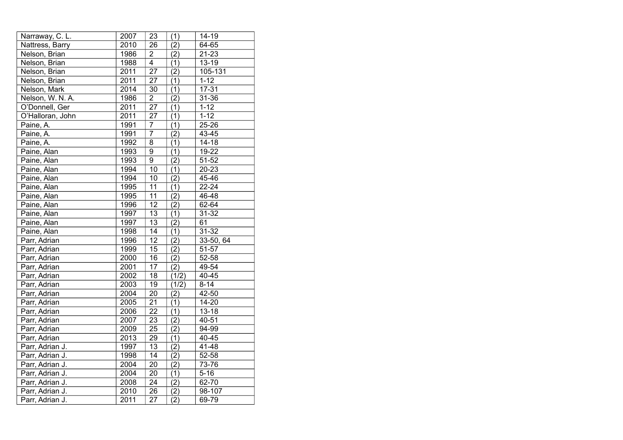| Narraway, C. L.  | 2007 | 23                      | (1)              | 14-19     |
|------------------|------|-------------------------|------------------|-----------|
| Nattress, Barry  | 2010 | 26                      | (2)              | 64-65     |
| Nelson, Brian    | 1986 | $\overline{c}$          | (2)              | $21 - 23$ |
| Nelson, Brian    | 1988 | $\overline{4}$          | (1)              | $13 - 19$ |
| Nelson, Brian    | 2011 | 27                      | (2)              | 105-131   |
| Nelson, Brian    | 2011 | 27                      | (1)              | $1 - 12$  |
| Nelson, Mark     | 2014 | 30                      | (1)              | $17 - 31$ |
| Nelson, W. N. A. | 1986 | $\overline{\mathbf{c}}$ | (2)              | 31-36     |
| O'Donnell, Ger   | 2011 | 27                      | (1)              | $1 - 12$  |
| O'Halloran, John | 2011 | $\overline{27}$         | (1)              | $1 - 12$  |
| Paine, A.        | 1991 | $\overline{7}$          | (1)              | 25-26     |
| Paine, A.        | 1991 | 7                       | (2)              | 43-45     |
| Paine, A.        | 1992 | 8                       | (1)              | $14 - 18$ |
| Paine, Alan      | 1993 | $\overline{9}$          | (1)              | 19-22     |
| Paine, Alan      | 1993 | $\overline{9}$          | (2)              | 51-52     |
| Paine, Alan      | 1994 | 10                      | (1)              | $20 - 23$ |
| Paine, Alan      | 1994 | 10                      | (2)              | 45-46     |
| Paine, Alan      | 1995 | 11                      | (1)              | $22 - 24$ |
| Paine, Alan      | 1995 | 11                      | $\overline{(2)}$ | 46-48     |
| Paine, Alan      | 1996 | $\overline{12}$         | $\overline{(2)}$ | 62-64     |
| Paine, Alan      | 1997 | $\overline{13}$         | (1)              | 31-32     |
| Paine, Alan      | 1997 | $\overline{13}$         | $\overline{(2)}$ | 61        |
| Paine, Alan      | 1998 | 14                      | (1)              | $31 - 32$ |
| Parr, Adrian     | 1996 | 12                      | (2)              | 33-50, 64 |
| Parr, Adrian     | 1999 | $\overline{15}$         | (2)              | 51-57     |
| Parr, Adrian     | 2000 | 16                      | $\overline{(2)}$ | 52-58     |
| Parr, Adrian     | 2001 | 17                      | $\overline{(2)}$ | 49-54     |
| Parr, Adrian     | 2002 | $\overline{18}$         | (1/2)            | 40-45     |
| Parr, Adrian     | 2003 | 19                      | (1/2)            | $8 - 14$  |
| Parr, Adrian     | 2004 | $\overline{20}$         | (2)              | 42-50     |
| Parr, Adrian     | 2005 | $\overline{21}$         | (1)              | $14 - 20$ |
| Parr, Adrian     | 2006 | $\overline{22}$         | (1)              | $13 - 18$ |
| Parr, Adrian     | 2007 | 23                      | (2)              | 40-51     |
| Parr, Adrian     | 2009 | $\overline{25}$         | $\overline{(2)}$ | 94-99     |
| Parr, Adrian     | 2013 | $\overline{29}$         | (1)              | 40-45     |
| Parr, Adrian J.  | 1997 | 13                      | (2)              | 41-48     |
| Parr, Adrian J.  | 1998 | 14                      | $\overline{(2)}$ | 52-58     |
| Parr, Adrian J.  | 2004 | 20                      | (2)              | 73-76     |
| Parr, Adrian J.  | 2004 | $\overline{20}$         | $\overline{(1)}$ | $5 - 16$  |
| Parr, Adrian J.  | 2008 | $\overline{24}$         | (2)              | 62-70     |
| Parr, Adrian J.  | 2010 | 26                      | (2)              | 98-107    |
| Parr, Adrian J.  | 2011 | 27                      | $\overline{(2)}$ | 69-79     |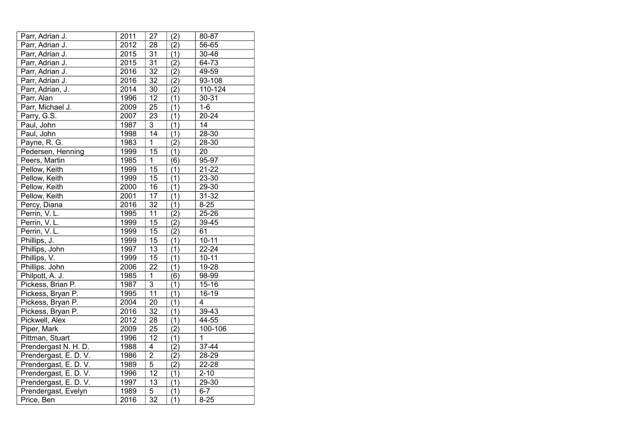| Parr, Adrian J.       | 2011 | 27              | (2)              | 80-87          |
|-----------------------|------|-----------------|------------------|----------------|
| Parr, Adrian J.       | 2012 | 28              | (2)              | 56-65          |
| Parr, Adrian J.       | 2015 | 31              | (1)              | 30-48          |
| Parr, Adrian J.       | 2015 | 31              | (2)              | 64-73          |
| Parr, Adrian J.       | 2016 | 32              | (2)              | 49-59          |
| Parr, Adrian J.       | 2016 | 32              | (2)              | 93-108         |
| Parr, Adrian, J.      | 2014 | 30              | (2)              | 110-124        |
| Parr, Alan            | 1996 | 12              | (1)              | $30 - 31$      |
| Parr, Michael J.      | 2009 | 25              | (1)              | $1-6$          |
| Parry, G.S.           | 2007 | 23              | (1)              | $20 - 24$      |
| Paul, John            | 1987 | $\overline{3}$  | (1)              | 14             |
| Paul, John            | 1998 | 14              | (1)              | 28-30          |
| Payne, R. G.          | 1983 | $\overline{1}$  | (2)              | 28-30          |
| Pedersen, Henning     | 1999 | 15              | (1)              | 20             |
| Peers, Martin         | 1985 | $\overline{1}$  | (6)              | 95-97          |
| Pellow, Keith         | 1999 | 15              | (1)              | $21 - 22$      |
| Pellow, Keith         | 1999 | 15              | (1)              | 23-30          |
| Pellow, Keith         | 2000 | 16              | (1)              | 29-30          |
| Pellow, Keith         | 2001 | 17              | (1)              | $31 - 32$      |
| Percy, Diana          | 2016 | $\overline{32}$ | (1)              | $8 - 25$       |
| Perrin, V.L.          | 1995 | 11              | $\overline{(2)}$ | $25 - 26$      |
| Perrin, V.L.          | 1999 | 15              | (2)              | 39-45          |
| Perrin, V.L.          | 1999 | 15              | (2)              | 61             |
| Phillips, J.          | 1999 | 15              | (1)              | $10 - 11$      |
| Phillips, John        | 1997 | 13              | (1)              | $22 - 24$      |
| Phillips, V.          | 1999 | $\overline{15}$ | $\overline{(1)}$ | $10 - 11$      |
| Phillips. John        | 2006 | $2\overline{2}$ | (1)              | 19-28          |
| Philpott, A. J.       | 1985 | $\mathbf 1$     | (6)              | 98-99          |
| Pickess, Brian P.     | 1987 | $\overline{3}$  | (1)              | $15 - 16$      |
| Pickess, Bryan P.     | 1995 | 11              | (1)              | 16-19          |
| Pickess, Bryan P.     | 2004 | $\overline{20}$ | (1)              | 4              |
| Pickess, Bryan P.     | 2016 | $\overline{32}$ | (1)              | $39 - 43$      |
| Pickwell, Alex        | 2012 | $\overline{28}$ | $\overline{(1)}$ | 44-55          |
| Piper, Mark           | 2009 | 25              | (2)              | 100-106        |
| Pittman, Stuart       | 1996 | $\overline{12}$ | (1)              | $\overline{1}$ |
| Prendergast N. H. D.  | 1988 | 4               | (2)              | 37-44          |
| Prendergast, E. D. V. | 1986 | $\mathbf 2$     | (2)              | 28-29          |
| Prendergast, E. D. V. | 1989 | $\overline{5}$  | (2)              | 22-28          |
| Prendergast, E. D. V. | 1996 | $\overline{12}$ | $\overline{(1)}$ | $2 - 10$       |
| Prendergast, E. D. V. | 1997 | $\overline{13}$ | (1)              | 29-30          |
| Prendergast, Evelyn   | 1989 | 5               | (1)              | 6-7            |
| Price, Ben            | 2016 | $\overline{32}$ | (1)              | $8 - 25$       |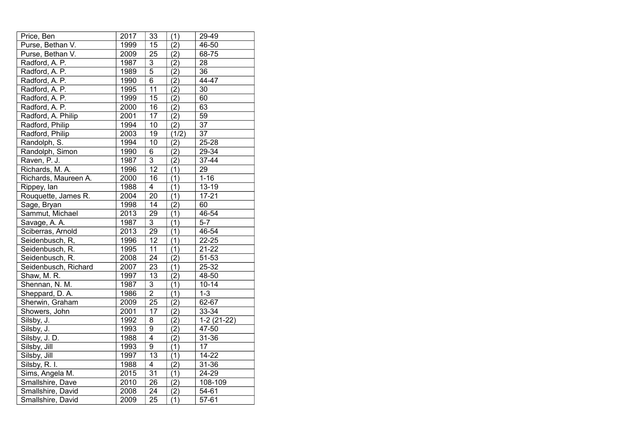| Price, Ben           | 2017              | 33              | (1)              | 29-49              |
|----------------------|-------------------|-----------------|------------------|--------------------|
| Purse, Bethan V.     | 1999              | 15              | (2)              | 46-50              |
| Purse, Bethan V.     | 2009              | 25              | (2)              | 68-75              |
| Radford, A. P.       | 1987              | 3               | (2)              | 28                 |
| Radford, A. P.       | 1989              | $\overline{5}$  | (2)              | 36                 |
| Radford, A. P.       | 1990              | $6\overline{6}$ | (2)              | 44-47              |
| Radford, A. P.       | 1995              | $\overline{1}1$ | (2)              | 30                 |
| Radford, A. P.       | 1999              | 15              | (2)              | 60                 |
| Radford, A. P.       | 2000              | $\overline{16}$ | (2)              | 63                 |
| Radford, A. Philip   | 2001              | 17              | (2)              | 59                 |
| Radford, Philip      | 1994              | 10              | $\overline{(2)}$ | $\overline{37}$    |
| Radford, Philip      | 2003              | 19              | (1/2)            | 37                 |
| Randolph, S.         | 1994              | 10              | (2)              | $25 - 28$          |
| Randolph, Simon      | 1990              | 6               | (2)              | 29-34              |
| Raven, P. J.         | 1987              | $\overline{3}$  | (2)              | 37-44              |
| Richards, M. A.      | 1996              | 12              | (1)              | 29                 |
| Richards, Maureen A. | 2000              | 16              | (1)              | $1 - 16$           |
| Rippey, lan          | 1988              | $\overline{4}$  | (1)              | $13 - 19$          |
| Rouquette, James R.  | 2004              | 20              | (1)              | $17 - 21$          |
| Sage, Bryan          | 1998              | 14              | (2)              | 60                 |
| Sammut, Michael      | 2013              | $\overline{29}$ | (1)              | 46-54              |
| Savage, A. A.        | 1987              | 3               | (1)              | $5 - 7$            |
| Sciberras, Arnold    | 2013              | 29              | $\overline{(1)}$ | 46-54              |
| Seidenbusch, R,      | 1996              | 12              | (1)              | $22 - 25$          |
| Seidenbusch, R.      | 1995              | 11              | (1)              | $21 - 22$          |
| Seidenbusch, R.      | 2008              | $\overline{24}$ | $\overline{(2)}$ | 51-53              |
| Seidenbusch, Richard | 2007              | 23              | (1)              | 25-32              |
| Shaw, M. R.          | 1997              | $\overline{13}$ | $\overline{(2)}$ | 48-50              |
| Shennan, N. M.       | 1987              | 3               | (1)              | $10 - 14$          |
| Sheppard, D.A.       | 1986              | $\overline{2}$  | (1)              | $1 - 3$            |
| Sherwin, Graham      | 2009              | $\overline{25}$ | (2)              | 62-67              |
| Showers, John        | $\frac{1}{200}$ 1 | 17              | (2)              | 33-34              |
| Silsby, J.           | 1992              | 8               | $\overline{(2)}$ | $1-2(21-22)$       |
| Silsby, J.           | 1993              | $\overline{9}$  | $\overline{(2)}$ | 47-50              |
| Silsby, J. D.        | 1988              | $\overline{4}$  | $\overline{(2)}$ | 31-36              |
| Silsby, Jill         | 1993              | 9               | (1)              | 17                 |
| Silsby, Jill         | 1997              | 13              | (1)              | $14 - 22$          |
| Silsby, R. I.        | 1988              | 4               | (2)              | 31-36              |
| Sims, Angela M.      | 2015              | $\overline{31}$ | $\overline{(1)}$ | $24 - 29$          |
| Smallshire, Dave     | 2010              | $\overline{26}$ | (2)              | 108-109            |
| Smallshire, David    | 2008              | 24              | (2)              | $54 - 61$          |
| Smallshire, David    | 2009              | 25              | $\overline{(1)}$ | $\overline{57-61}$ |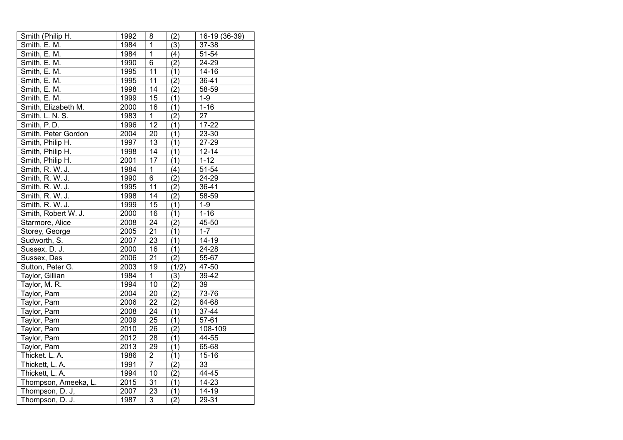| Smith (Philip H.     | 1992 | 8               | (2)              | 16-19 (36-39)   |
|----------------------|------|-----------------|------------------|-----------------|
| Smith, E. M.         | 1984 | $\overline{1}$  | (3)              | 37-38           |
| Smith, E. M.         | 1984 | $\overline{1}$  | (4)              | 51-54           |
| Smith, E. M.         | 1990 | 6               | (2)              | 24-29           |
| Smith, E. M.         | 1995 | $\overline{11}$ | (1)              | $14 - 16$       |
| Smith, E. M.         | 1995 | 11              | (2)              | $36 - 41$       |
| Smith, E. M.         | 1998 | $\overline{14}$ | (2)              | 58-59           |
| Smith, E. M.         | 1999 | 15              | (1)              | $1 - 9$         |
| Smith, Elizabeth M.  | 2000 | 16              | (1)              | $1 - 16$        |
| Smith, L. N. S.      | 1983 | $\overline{1}$  | (2)              | $\overline{27}$ |
| Smith, P.D.          | 1996 | $\overline{12}$ | (1)              | $17 - 22$       |
| Smith, Peter Gordon  | 2004 | 20              | (1)              | 23-30           |
| Smith, Philip H.     | 1997 | 13              | (1)              | 27-29           |
| Smith, Philip H.     | 1998 | 14              | (1)              | $12 - 14$       |
| Smith, Philip H.     | 2001 | 17              | (1)              | $1 - 12$        |
| Smith, R. W. J.      | 1984 | $\mathbf{1}$    | (4)              | 51-54           |
| Smith, R. W. J.      | 1990 | 6               | (2)              | 24-29           |
| Smith, R. W. J.      | 1995 | 11              | (2)              | $36 - 41$       |
| Smith, R. W. J.      | 1998 | 14              | (2)              | 58-59           |
| Smith, R. W. J.      | 1999 | 15              | (1)              | $1 - 9$         |
| Smith, Robert W. J.  | 2000 | $\overline{16}$ | (1)              | $1 - 16$        |
| Starmore, Alice      | 2008 | 24              | (2)              | 45-50           |
| Storey, George       | 2005 | $\overline{21}$ | $\overline{(1)}$ | $1 - 7$         |
| Sudworth, S.         | 2007 | 23              | (1)              | 14-19           |
| Sussex, D. J.        | 2000 | 16              | (1)              | 24-28           |
| Sussex, Des          | 2006 | $\overline{21}$ | (2)              | 55-67           |
| Sutton, Peter G.     | 2003 | 19              | (1/2)            | $47 - 50$       |
| Taylor, Gillian      | 1984 | $\overline{1}$  | (3)              | 39-42           |
| Taylor, M. R.        | 1994 | 10              | (2)              | 39              |
| Taylor, Pam          | 2004 | $\overline{20}$ | (2)              | 73-76           |
| Taylor, Pam          | 2006 | $\overline{22}$ | (2)              | 64-68           |
| Taylor, Pam          | 2008 | 24              | (1)              | 37-44           |
| Taylor, Pam          | 2009 | 25              | (1)              | 57-61           |
| Taylor, Pam          | 2010 | $\overline{26}$ | $\overline{(2)}$ | 108-109         |
| Taylor, Pam          | 2012 | 28              | (1)              | 44-55           |
| Taylor, Pam          | 2013 | 29              | (1)              | 65-68           |
| Thicket. L. A.       | 1986 | $\mathbf 2$     | (1)              | $15 - 16$       |
| Thickett, L. A.      | 1991 | $\overline{7}$  | (2)              | 33              |
| Thickett, L. A.      | 1994 | 10              | $\overline{(2)}$ | 44-45           |
| Thompson, Ameeka, L. | 2015 | $\overline{31}$ | (1)              | $14 - 23$       |
| Thompson, D. J,      | 2007 | 23              | (1)              | 14-19           |
| Thompson, D. J.      | 1987 | 3               | (2)              | $29 - 31$       |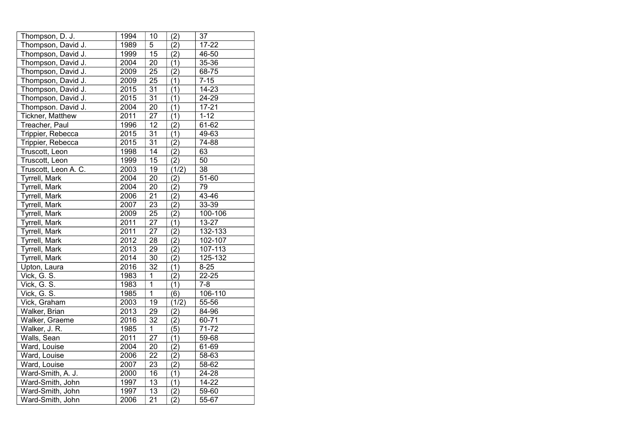| Thompson, D. J.         | 1994 | 10              | (2)              | 37              |
|-------------------------|------|-----------------|------------------|-----------------|
| Thompson, David J.      | 1989 | 5               | (2)              | $17 - 22$       |
| Thompson, David J.      | 1999 | 15              | (2)              | 46-50           |
| Thompson, David J.      | 2004 | 20              | (1)              | 35-36           |
| Thompson, David J.      | 2009 | 25              | (2)              | 68-75           |
| Thompson, David J.      | 2009 | 25              | (1)              | $7 - 15$        |
| Thompson, David J.      | 2015 | $\overline{31}$ | (1)              | $14 - 23$       |
| Thompson, David J.      | 2015 | 31              | (1)              | 24-29           |
| Thompson. David J.      | 2004 | 20              | (1)              | $17 - 21$       |
| <b>Tickner, Matthew</b> | 2011 | 27              | (1)              | $1 - 12$        |
| Treacher, Paul          | 1996 | 12              | (2)              | 61-62           |
| Trippier, Rebecca       | 2015 | 31              | (1)              | 49-63           |
| Trippier, Rebecca       | 2015 | 31              | (2)              | 74-88           |
| Truscott, Leon          | 1998 | 14              | (2)              | 63              |
| Truscott, Leon          | 1999 | $\overline{15}$ | (2)              | 50              |
| Truscott, Leon A. C.    | 2003 | 19              | (1/2)            | $\overline{38}$ |
| <b>Tyrrell, Mark</b>    | 2004 | 20              | (2)              | 51-60           |
| Tyrrell, Mark           | 2004 | 20              | (2)              | 79              |
| <b>Tyrrell, Mark</b>    | 2006 | $\overline{21}$ | $\overline{(2)}$ | 43-46           |
| Tyrrell, Mark           | 2007 | $\overline{23}$ | (2)              | 33-39           |
| Tyrrell, Mark           | 2009 | $\overline{25}$ | (2)              | 100-106         |
| Tyrrell, Mark           | 2011 | $\overline{27}$ | (1)              | 13-27           |
| Tyrrell, Mark           | 2011 | $\overline{27}$ | (2)              | 132-133         |
| Tyrrell, Mark           | 2012 | 28              | $\overline{(2)}$ | 102-107         |
| Tyrrell, Mark           | 2013 | 29              | (2)              | 107-113         |
| Tyrrell, Mark           | 2014 | $\overline{30}$ | $\overline{(2)}$ | 125-132         |
| Upton, Laura            | 2016 | 32              | (1)              | $8 - 25$        |
| Vick, G. S.             | 1983 | $\mathbf 1$     | $\overline{(2)}$ | $22 - 25$       |
| Vick, G. S.             | 1983 | $\overline{1}$  | $\overline{(1)}$ | $7 - 8$         |
| Vick, G. S.             | 1985 | $\overline{1}$  | (6)              | 106-110         |
| Vick, Graham            | 2003 | 19              | (1/2)            | 55-56           |
| Walker, Brian           | 2013 | 29              | (2)              | 84-96           |
| Walker, Graeme          | 2016 | 32              | (2)              | 60-71           |
| Walker, J. R.           | 1985 | $\overline{1}$  | $\overline{(5)}$ | $71 - 72$       |
| Walls, Sean             | 2011 | $\overline{27}$ | (1)              | 59-68           |
| Ward, Louise            | 2004 | $\overline{20}$ | (2)              | 61-69           |
| Ward, Louise            | 2006 | $\overline{22}$ | $\overline{(2)}$ | 58-63           |
| Ward, Louise            | 2007 | 23              | (2)              | 58-62           |
| Ward-Smith, A. J.       | 2000 | 16              | $\overline{(1)}$ | 24-28           |
| Ward-Smith, John        | 1997 | $\overline{13}$ | (1)              | 14-22           |
| Ward-Smith, John        | 1997 | 13              | (2)              | 59-60           |
| Ward-Smith, John        | 2006 | $\overline{21}$ | $\overline{(2)}$ | 55-67           |